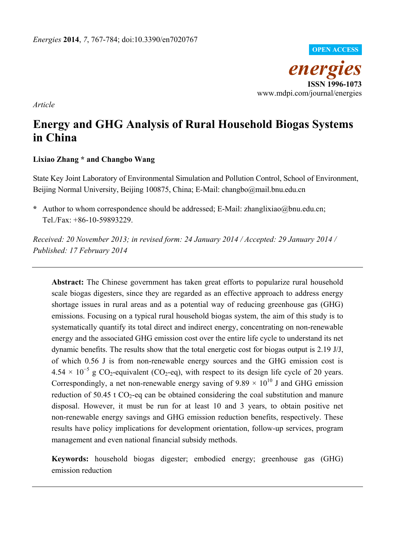

*Article* 

# **Energy and GHG Analysis of Rural Household Biogas Systems in China**

## **Lixiao Zhang \* and Changbo Wang**

State Key Joint Laboratory of Environmental Simulation and Pollution Control, School of Environment, Beijing Normal University, Beijing 100875, China; E-Mail: changbo@mail.bnu.edu.cn

**\*** Author to whom correspondence should be addressed; E-Mail: zhanglixiao@bnu.edu.cn; Tel./Fax: +86-10-59893229.

*Received: 20 November 2013; in revised form: 24 January 2014 / Accepted: 29 January 2014 / Published: 17 February 2014* 

**Abstract:** The Chinese government has taken great efforts to popularize rural household scale biogas digesters, since they are regarded as an effective approach to address energy shortage issues in rural areas and as a potential way of reducing greenhouse gas (GHG) emissions. Focusing on a typical rural household biogas system, the aim of this study is to systematically quantify its total direct and indirect energy, concentrating on non-renewable energy and the associated GHG emission cost over the entire life cycle to understand its net dynamic benefits. The results show that the total energetic cost for biogas output is 2.19 J/J, of which 0.56 J is from non-renewable energy sources and the GHG emission cost is  $4.54 \times 10^{-5}$  g CO<sub>2</sub>-equivalent (CO<sub>2</sub>-eq), with respect to its design life cycle of 20 years. Correspondingly, a net non-renewable energy saving of  $9.89 \times 10^{10}$  J and GHG emission reduction of  $50.45$  t CO<sub>2</sub>-eq can be obtained considering the coal substitution and manure disposal. However, it must be run for at least 10 and 3 years, to obtain positive net non-renewable energy savings and GHG emission reduction benefits, respectively. These results have policy implications for development orientation, follow-up services, program management and even national financial subsidy methods.

**Keywords:** household biogas digester; embodied energy; greenhouse gas (GHG) emission reduction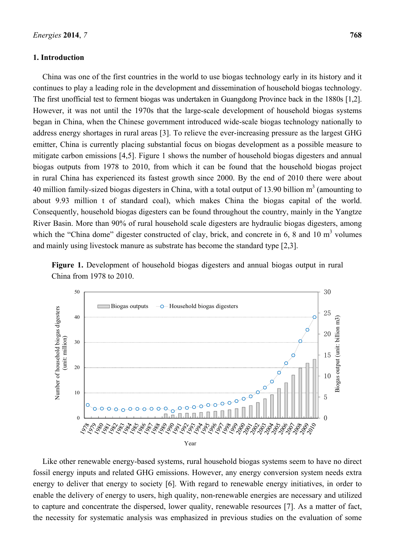## **1. Introduction**

China was one of the first countries in the world to use biogas technology early in its history and it continues to play a leading role in the development and dissemination of household biogas technology. The first unofficial test to ferment biogas was undertaken in Guangdong Province back in the 1880s [1,2]. However, it was not until the 1970s that the large-scale development of household biogas systems began in China, when the Chinese government introduced wide-scale biogas technology nationally to address energy shortages in rural areas [3]. To relieve the ever-increasing pressure as the largest GHG emitter, China is currently placing substantial focus on biogas development as a possible measure to mitigate carbon emissions [4,5]. Figure 1 shows the number of household biogas digesters and annual biogas outputs from 1978 to 2010, from which it can be found that the household biogas project in rural China has experienced its fastest growth since 2000. By the end of 2010 there were about 40 million family-sized biogas digesters in China, with a total output of 13.90 billion  $m<sup>3</sup>$  (amounting to about 9.93 million t of standard coal), which makes China the biogas capital of the world. Consequently, household biogas digesters can be found throughout the country, mainly in the Yangtze River Basin. More than 90% of rural household scale digesters are hydraulic biogas digesters, among which the "China dome" digester constructed of clay, brick, and concrete in 6, 8 and 10  $m<sup>3</sup>$  volumes and mainly using livestock manure as substrate has become the standard type [2,3].

**Figure 1.** Development of household biogas digesters and annual biogas output in rural China from 1978 to 2010.



Like other renewable energy-based systems, rural household biogas systems seem to have no direct fossil energy inputs and related GHG emissions. However, any energy conversion system needs extra energy to deliver that energy to society [6]. With regard to renewable energy initiatives, in order to enable the delivery of energy to users, high quality, non-renewable energies are necessary and utilized to capture and concentrate the dispersed, lower quality, renewable resources [7]. As a matter of fact, the necessity for systematic analysis was emphasized in previous studies on the evaluation of some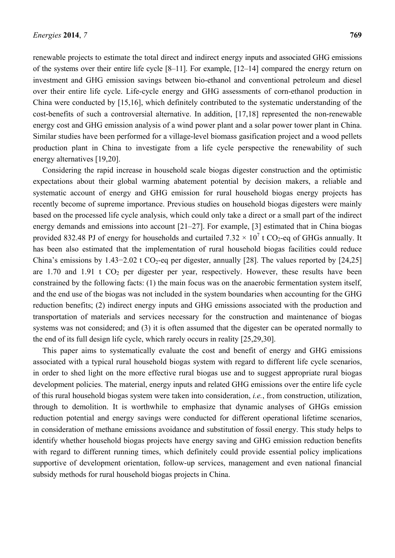renewable projects to estimate the total direct and indirect energy inputs and associated GHG emissions of the systems over their entire life cycle [8–11]. For example, [12–14] compared the energy return on investment and GHG emission savings between bio-ethanol and conventional petroleum and diesel over their entire life cycle. Life-cycle energy and GHG assessments of corn-ethanol production in China were conducted by [15,16], which definitely contributed to the systematic understanding of the cost-benefits of such a controversial alternative. In addition, [17,18] represented the non-renewable energy cost and GHG emission analysis of a wind power plant and a solar power tower plant in China. Similar studies have been performed for a village-level biomass gasification project and a wood pellets production plant in China to investigate from a life cycle perspective the renewability of such energy alternatives [19,20].

Considering the rapid increase in household scale biogas digester construction and the optimistic expectations about their global warming abatement potential by decision makers, a reliable and systematic account of energy and GHG emission for rural household biogas energy projects has recently become of supreme importance. Previous studies on household biogas digesters were mainly based on the processed life cycle analysis, which could only take a direct or a small part of the indirect energy demands and emissions into account [21–27]. For example, [3] estimated that in China biogas provided 832.48 PJ of energy for households and curtailed  $7.32 \times 10^7$  t CO<sub>2</sub>-eq of GHGs annually. It has been also estimated that the implementation of rural household biogas facilities could reduce China's emissions by 1.43−2.02 t CO<sub>2</sub>-eq per digester, annually [28]. The values reported by [24,25] are  $1.70$  and  $1.91$  t  $CO<sub>2</sub>$  per digester per year, respectively. However, these results have been constrained by the following facts: (1) the main focus was on the anaerobic fermentation system itself, and the end use of the biogas was not included in the system boundaries when accounting for the GHG reduction benefits; (2) indirect energy inputs and GHG emissions associated with the production and transportation of materials and services necessary for the construction and maintenance of biogas systems was not considered; and (3) it is often assumed that the digester can be operated normally to the end of its full design life cycle, which rarely occurs in reality [25,29,30].

This paper aims to systematically evaluate the cost and benefit of energy and GHG emissions associated with a typical rural household biogas system with regard to different life cycle scenarios, in order to shed light on the more effective rural biogas use and to suggest appropriate rural biogas development policies. The material, energy inputs and related GHG emissions over the entire life cycle of this rural household biogas system were taken into consideration, *i.e.*, from construction, utilization, through to demolition. It is worthwhile to emphasize that dynamic analyses of GHGs emission reduction potential and energy savings were conducted for different operational lifetime scenarios, in consideration of methane emissions avoidance and substitution of fossil energy. This study helps to identify whether household biogas projects have energy saving and GHG emission reduction benefits with regard to different running times, which definitely could provide essential policy implications supportive of development orientation, follow-up services, management and even national financial subsidy methods for rural household biogas projects in China.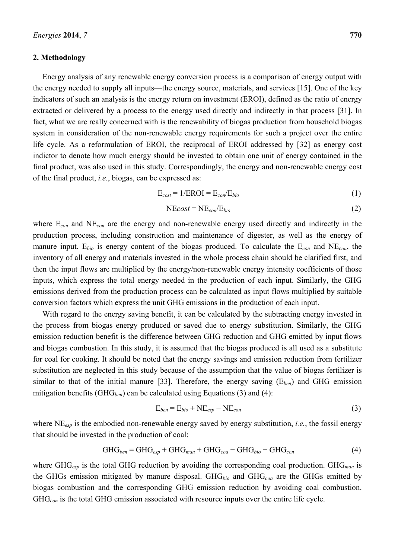## **2. Methodology**

Energy analysis of any renewable energy conversion process is a comparison of energy output with the energy needed to supply all inputs—the energy source, materials, and services [15]. One of the key indicators of such an analysis is the energy return on investment (EROI), defined as the ratio of energy extracted or delivered by a process to the energy used directly and indirectly in that process [31]. In fact, what we are really concerned with is the renewability of biogas production from household biogas system in consideration of the non-renewable energy requirements for such a project over the entire life cycle. As a reformulation of EROI, the reciprocal of EROI addressed by [32] as energy cost indictor to denote how much energy should be invested to obtain one unit of energy contained in the final product, was also used in this study. Correspondingly, the energy and non-renewable energy cost of the final product, *i.e.*, biogas, can be expressed as:

$$
E_{cost} = 1/EROI = E_{con}/E_{bio}
$$
 (1)

$$
NEcost = NE_{con}/E_{bio}
$$
 (2)

where E*con* and NE*con* are the energy and non-renewable energy used directly and indirectly in the production process, including construction and maintenance of digester, as well as the energy of manure input. E*bio* is energy content of the biogas produced. To calculate the E*con* and NE*con*, the inventory of all energy and materials invested in the whole process chain should be clarified first, and then the input flows are multiplied by the energy/non-renewable energy intensity coefficients of those inputs, which express the total energy needed in the production of each input. Similarly, the GHG emissions derived from the production process can be calculated as input flows multiplied by suitable conversion factors which express the unit GHG emissions in the production of each input.

With regard to the energy saving benefit, it can be calculated by the subtracting energy invested in the process from biogas energy produced or saved due to energy substitution. Similarly, the GHG emission reduction benefit is the difference between GHG reduction and GHG emitted by input flows and biogas combustion. In this study, it is assumed that the biogas produced is all used as a substitute for coal for cooking. It should be noted that the energy savings and emission reduction from fertilizer substitution are neglected in this study because of the assumption that the value of biogas fertilizer is similar to that of the initial manure [33]. Therefore, the energy saving (E*ben*) and GHG emission mitigation benefits (GHG*ben*) can be calculated using Equations (3) and (4):

$$
E_{ben} = E_{bio} + NE_{esp} - NE_{con}
$$
 (3)

where NE*esp* is the embodied non-renewable energy saved by energy substitution, *i.e.*, the fossil energy that should be invested in the production of coal:

$$
GHG_{ben} = GHG_{esp} + GHG_{man} + GHG_{coa} - GHG_{bio} - GHG_{con}
$$
\n(4)

where GHG<sub>esp</sub> is the total GHG reduction by avoiding the corresponding coal production. GHG<sub>man</sub> is the GHGs emission mitigated by manure disposal. GHG*bio* and GHG*coa* are the GHGs emitted by biogas combustion and the corresponding GHG emission reduction by avoiding coal combustion. GHG*con* is the total GHG emission associated with resource inputs over the entire life cycle.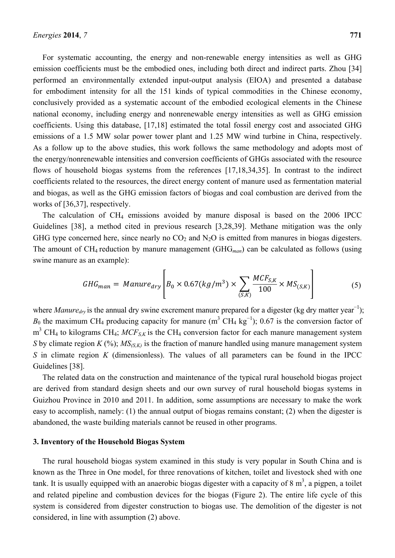For systematic accounting, the energy and non-renewable energy intensities as well as GHG emission coefficients must be the embodied ones, including both direct and indirect parts. Zhou [34] performed an environmentally extended input-output analysis (EIOA) and presented a database for embodiment intensity for all the 151 kinds of typical commodities in the Chinese economy, conclusively provided as a systematic account of the embodied ecological elements in the Chinese national economy, including energy and nonrenewable energy intensities as well as GHG emission coefficients. Using this database, [17,18] estimated the total fossil energy cost and associated GHG emissions of a 1.5 MW solar power tower plant and 1.25 MW wind turbine in China, respectively. As a follow up to the above studies, this work follows the same methodology and adopts most of the energy/nonrenewable intensities and conversion coefficients of GHGs associated with the resource flows of household biogas systems from the references [17,18,34,35]. In contrast to the indirect coefficients related to the resources, the direct energy content of manure used as fermentation material and biogas, as well as the GHG emission factors of biogas and coal combustion are derived from the works of [36,37], respectively.

The calculation of  $CH_4$  emissions avoided by manure disposal is based on the 2006 IPCC Guidelines [38], a method cited in previous research [3,28,39]. Methane mitigation was the only GHG type concerned here, since nearly no  $CO<sub>2</sub>$  and  $N<sub>2</sub>O$  is emitted from manures in biogas digesters. The amount of CH4 reduction by manure management (GHG*man*) can be calculated as follows (using swine manure as an example):

$$
GHG_{man} = Manuel_{dry}\left[B_0 \times 0.67(kg/m^3) \times \sum_{(S,K)} \frac{MCF_{S,K}}{100} \times MS_{(S,K)}\right]
$$
(5)

where *Manure<sub>dry</sub>* is the annual dry swine excrement manure prepared for a digester (kg dry matter year<sup>-1</sup>);  $B_0$  the maximum CH<sub>4</sub> producing capacity for manure (m<sup>3</sup> CH<sub>4</sub> kg<sup>-1</sup>); 0.67 is the conversion factor of  $m<sup>3</sup>$  CH<sub>4</sub> to kilograms CH<sub>4</sub>; *MCF<sub>S,K</sub>* is the CH<sub>4</sub> conversion factor for each manure management system *S* by climate region  $K(\%)$ ;  $MS_{(S,K)}$  is the fraction of manure handled using manure management system *S* in climate region *K* (dimensionless). The values of all parameters can be found in the IPCC Guidelines [38].

The related data on the construction and maintenance of the typical rural household biogas project are derived from standard design sheets and our own survey of rural household biogas systems in Guizhou Province in 2010 and 2011. In addition, some assumptions are necessary to make the work easy to accomplish, namely: (1) the annual output of biogas remains constant; (2) when the digester is abandoned, the waste building materials cannot be reused in other programs.

#### **3. Inventory of the Household Biogas System**

The rural household biogas system examined in this study is very popular in South China and is known as the Three in One model, for three renovations of kitchen, toilet and livestock shed with one tank. It is usually equipped with an anaerobic biogas digester with a capacity of 8  $m<sup>3</sup>$ , a pigpen, a toilet and related pipeline and combustion devices for the biogas (Figure 2). The entire life cycle of this system is considered from digester construction to biogas use. The demolition of the digester is not considered, in line with assumption (2) above.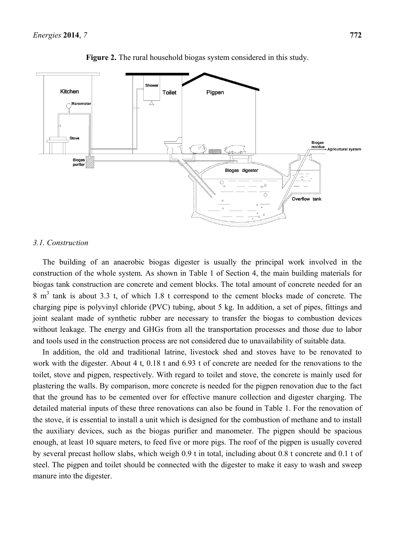

**Figure 2.** The rural household biogas system considered in this study.

#### *3.1. Construction*

The building of an anaerobic biogas digester is usually the principal work involved in the construction of the whole system. As shown in Table 1 of Section 4, the main building materials for biogas tank construction are concrete and cement blocks. The total amount of concrete needed for an  $8 \text{ m}^3$  tank is about 3.3 t, of which 1.8 t correspond to the cement blocks made of concrete. The charging pipe is polyvinyl chloride (PVC) tubing, about 5 kg. In addition, a set of pipes, fittings and joint sealant made of synthetic rubber are necessary to transfer the biogas to combustion devices without leakage. The energy and GHGs from all the transportation processes and those due to labor and tools used in the construction process are not considered due to unavailability of suitable data.

In addition, the old and traditional latrine, livestock shed and stoves have to be renovated to work with the digester. About 4 t, 0.18 t and 6.93 t of concrete are needed for the renovations to the toilet, stove and pigpen, respectively. With regard to toilet and stove, the concrete is mainly used for plastering the walls. By comparison, more concrete is needed for the pigpen renovation due to the fact that the ground has to be cemented over for effective manure collection and digester charging. The detailed material inputs of these three renovations can also be found in Table 1. For the renovation of the stove, it is essential to install a unit which is designed for the combustion of methane and to install the auxiliary devices, such as the biogas purifier and manometer. The pigpen should be spacious enough, at least 10 square meters, to feed five or more pigs. The roof of the pigpen is usually covered by several precast hollow slabs, which weigh 0.9 t in total, including about 0.8 t concrete and 0.1 t of steel. The pigpen and toilet should be connected with the digester to make it easy to wash and sweep manure into the digester.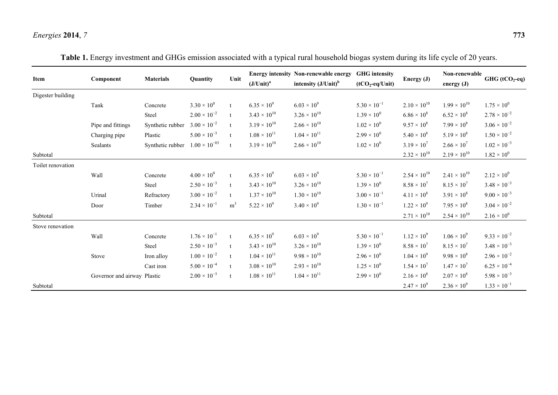## *Energies* **2014**, *7* **773**

| Item              | Component                   | <b>Materials</b> | Quantity               | Unit           | $(J/U$ nit $)^a$      | <b>Energy intensity Non-renewable energy</b><br>intensity $(J/U$ nit) $^b$ | <b>GHG</b> intensity<br>$(tCO2-eq/Unit)$ | Energy (J)            | Non-renewable<br>energy (J) | $GHG (tCO2-eq)$       |
|-------------------|-----------------------------|------------------|------------------------|----------------|-----------------------|----------------------------------------------------------------------------|------------------------------------------|-----------------------|-----------------------------|-----------------------|
| Digester building |                             |                  |                        |                |                       |                                                                            |                                          |                       |                             |                       |
|                   | Tank                        | Concrete         | $3.30 \times 10^{0}$   |                | $6.35 \times 10^{9}$  | $6.03 \times 10^{9}$                                                       | $5.30 \times 10^{-1}$                    | $2.10 \times 10^{10}$ | $1.99 \times 10^{10}$       | $1.75 \times 10^{0}$  |
|                   |                             | Steel            | $2.00 \times 10^{-2}$  | t              | $3.43 \times 10^{10}$ | $3.26 \times 10^{10}$                                                      | $1.39 \times 10^{0}$                     | $6.86 \times 10^{8}$  | $6.52 \times 10^8$          | $2.78 \times 10^{-2}$ |
|                   | Pipe and fittings           | Synthetic rubber | $3.00 \times 10^{-2}$  | $^{\dagger}$   | $3.19 \times 10^{10}$ | $2.66 \times 10^{10}$                                                      | $1.02 \times 10^{0}$                     | $9.57 \times 10^8$    | $7.99 \times 10^8$          | $3.06 \times 10^{-2}$ |
|                   | Charging pipe               | Plastic          | $5.00 \times 10^{-3}$  | t              | $1.08 \times 10^{11}$ | $1.04 \times 10^{11}$                                                      | $2.99 \times 10^{0}$                     | $5.40 \times 10^8$    | $5.19 \times 10^8$          | $1.50 \times 10^{-2}$ |
|                   | Sealants                    | Synthetic rubber | $1.00 \times 10^{-03}$ | t              | $3.19 \times 10^{10}$ | $2.66 \times 10^{10}$                                                      | $1.02 \times 10^{0}$                     | $3.19 \times 10^{7}$  | $2.66 \times 10^{7}$        | $1.02 \times 10^{-3}$ |
| Subtotal          |                             |                  |                        |                |                       |                                                                            |                                          | $2.32 \times 10^{10}$ | $2.19 \times 10^{10}$       | $1.82 \times 10^{0}$  |
| Toilet renovation |                             |                  |                        |                |                       |                                                                            |                                          |                       |                             |                       |
|                   | Wall                        | Concrete         | $4.00 \times 10^{0}$   | t              | $6.35 \times 10^{9}$  | $6.03 \times 10^{9}$                                                       | $5.30 \times 10^{-1}$                    | $2.54 \times 10^{10}$ | $2.41 \times 10^{10}$       | $2.12 \times 10^{0}$  |
|                   |                             | Steel            | $2.50 \times 10^{-3}$  | t              | $3.43 \times 10^{10}$ | $3.26 \times 10^{10}$                                                      | $1.39 \times 10^{0}$                     | $8.58 \times 10^{7}$  | $8.15 \times 10^{7}$        | $3.48 \times 10^{-3}$ |
|                   | Urinal                      | Refractory       | $3.00 \times 10^{-2}$  | t              | $1.37 \times 10^{10}$ | $1.30 \times 10^{10}$                                                      | $3.00 \times 10^{-1}$                    | $4.11 \times 10^8$    | $3.91 \times 10^{8}$        | $9.00 \times 10^{-3}$ |
|                   | Door                        | Timber           | $2.34 \times 10^{-1}$  | m <sup>3</sup> | $5.22 \times 10^{9}$  | $3.40 \times 10^{9}$                                                       | $1.30 \times 10^{-1}$                    | $1.22 \times 10^{9}$  | $7.95 \times 10^8$          | $3.04 \times 10^{-2}$ |
| Subtotal          |                             |                  |                        |                |                       |                                                                            |                                          | $2.71 \times 10^{10}$ | $2.54 \times 10^{10}$       | $2.16 \times 10^{0}$  |
| Stove renovation  |                             |                  |                        |                |                       |                                                                            |                                          |                       |                             |                       |
|                   | Wall                        | Concrete         | $1.76 \times 10^{-1}$  | t              | $6.35 \times 10^{9}$  | $6.03 \times 10^{9}$                                                       | $5.30 \times 10^{-1}$                    | $1.12 \times 10^{9}$  | $1.06 \times 10^{9}$        | $9.33 \times 10^{-2}$ |
|                   |                             | Steel            | $2.50 \times 10^{-3}$  | t              | $3.43 \times 10^{10}$ | $3.26 \times 10^{10}$                                                      | $1.39 \times 10^{0}$                     | $8.58 \times 10^{7}$  | $8.15 \times 10^{7}$        | $3.48 \times 10^{-3}$ |
|                   | Stove                       | Iron alloy       | $1.00 \times 10^{-2}$  | t              | $1.04 \times 10^{11}$ | $9.98 \times 10^{10}$                                                      | $2.96 \times 10^{0}$                     | $1.04 \times 10^{9}$  | $9.98 \times 10^8$          | $2.96 \times 10^{-2}$ |
|                   |                             | Cast iron        | $5.00 \times 10^{-4}$  | t              | $3.08 \times 10^{10}$ | $2.93 \times 10^{10}$                                                      | $1.25 \times 10^{0}$                     | $1.54 \times 10^{7}$  | $1.47 \times 10^{7}$        | $6.25 \times 10^{-4}$ |
|                   | Governor and airway Plastic |                  | $2.00 \times 10^{-3}$  | t              | $1.08 \times 10^{11}$ | $1.04 \times 10^{11}$                                                      | $2.99 \times 10^{0}$                     | $2.16 \times 10^8$    | $2.07 \times 10^8$          | $5.98 \times 10^{-3}$ |
| Subtotal          |                             |                  |                        |                |                       |                                                                            |                                          | $2.47 \times 10^{9}$  | $2.36 \times 10^{9}$        | $1.33 \times 10^{-1}$ |

**Table 1.** Energy investment and GHGs emission associated with a typical rural household biogas system during its life cycle of 20 years.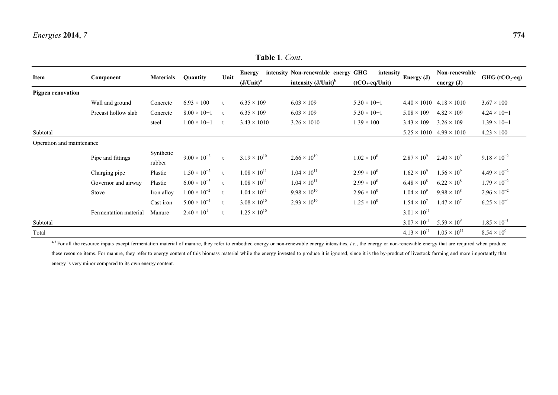| Item                      | Component             | <b>Materials</b>    | Quantity              | Unit | <b>Energy</b>         | intensity Non-renewable energy GHG | intensity             | Energy (J)            | Non-renewable                         | $GHG (tCO2-eq)$       |
|---------------------------|-----------------------|---------------------|-----------------------|------|-----------------------|------------------------------------|-----------------------|-----------------------|---------------------------------------|-----------------------|
|                           |                       |                     |                       |      | $(J/U$ nit $)^a$      | intensity $(J/U$ nit $)^b$         | $(tCO2-eq/Unit)$      |                       | energy $(J)$                          |                       |
| <b>Pigpen renovation</b>  |                       |                     |                       |      |                       |                                    |                       |                       |                                       |                       |
|                           | Wall and ground       | Concrete            | $6.93 \times 100$     |      | $6.35 \times 109$     | $6.03 \times 109$                  | $5.30 \times 10^{-1}$ | $4.40 \times 1010$    | $4.18 \times 1010$                    | $3.67 \times 100$     |
|                           | Precast hollow slab   | Concrete            | $8.00 \times 10^{-1}$ |      | $6.35 \times 109$     | $6.03 \times 109$                  | $5.30 \times 10^{-1}$ | $5.08 \times 109$     | $4.82 \times 109$                     | $4.24 \times 10^{-1}$ |
|                           |                       | steel               | $1.00 \times 10^{-1}$ |      | $3.43 \times 1010$    | $3.26 \times 1010$                 | $1.39 \times 100$     | $3.43 \times 109$     | $3.26 \times 109$                     | $1.39 \times 10^{-1}$ |
| Subtotal                  |                       |                     |                       |      |                       |                                    |                       |                       | $5.25 \times 1010$ 4.99 $\times 1010$ | $4.23 \times 100$     |
| Operation and maintenance |                       |                     |                       |      |                       |                                    |                       |                       |                                       |                       |
|                           | Pipe and fittings     | Synthetic<br>rubber | $9.00 \times 10^{-2}$ |      | $3.19 \times 10^{10}$ | $2.66 \times 10^{10}$              | $1.02 \times 10^{0}$  | $2.87 \times 10^{9}$  | $2.40 \times 10^{9}$                  | $9.18 \times 10^{-2}$ |
|                           | Charging pipe         | Plastic             | $1.50 \times 10^{-2}$ |      | $1.08 \times 10^{11}$ | $1.04 \times 10^{11}$              | $2.99 \times 10^{0}$  | $1.62 \times 10^{9}$  | $1.56 \times 10^{9}$                  | $4.49 \times 10^{-2}$ |
|                           | Governor and airway   | Plastic             | $6.00 \times 10^{-3}$ |      | $1.08 \times 10^{11}$ | $1.04 \times 10^{11}$              | $2.99 \times 10^{0}$  | $6.48 \times 10^{8}$  | $6.22 \times 10^8$                    | $1.79 \times 10^{-2}$ |
|                           | Stove                 | Iron alloy          | $1.00 \times 10^{-2}$ |      | $1.04 \times 10^{11}$ | $9.98 \times 10^{10}$              | $2.96 \times 10^{0}$  | $1.04 \times 10^{9}$  | $9.98 \times 10^8$                    | $2.96 \times 10^{-2}$ |
|                           |                       | Cast iron           | $5.00 \times 10^{-4}$ |      | $3.08 \times 10^{10}$ | $2.93 \times 10^{10}$              | $1.25 \times 10^{0}$  | $1.54 \times 10^{7}$  | $1.47 \times 10^{7}$                  | $6.25 \times 10^{-4}$ |
|                           | Fermentation material | Manure              | $2.40 \times 10^{1}$  |      | $1.25 \times 10^{10}$ |                                    |                       | $3.01 \times 10^{11}$ |                                       |                       |
| Subtotal                  |                       |                     |                       |      |                       |                                    |                       | $3.07 \times 10^{11}$ | $5.59 \times 10^{9}$                  | $1.85 \times 10^{-1}$ |
| Total                     |                       |                     |                       |      |                       |                                    |                       | $4.13 \times 10^{11}$ | $1.05 \times 10^{11}$                 | $8.54 \times 10^{0}$  |

<sup>a, b</sup> For all the resource inputs except fermentation material of manure, they refer to embodied energy or non-renewable energy intensities, *i.e.*, the energy or non-renewable energy that are required when produce these resource items. For manure, they refer to energy content of this biomass material while the energy invested to produce it is ignored, since it is the by-product of livestock farming and more importantly that energy is very minor compared to its own energy content.

**Table 1**. *Cont*.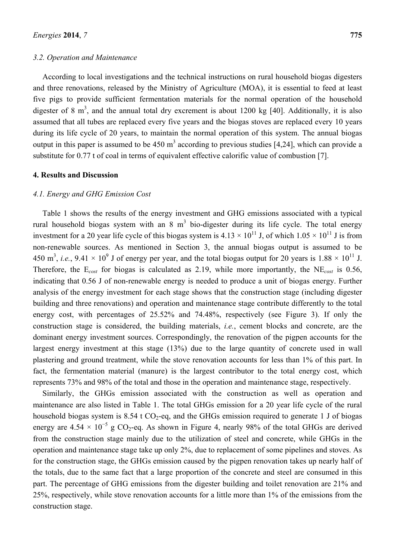#### *3.2. Operation and Maintenance*

According to local investigations and the technical instructions on rural household biogas digesters and three renovations, released by the Ministry of Agriculture (MOA), it is essential to feed at least five pigs to provide sufficient fermentation materials for the normal operation of the household digester of 8  $m<sup>3</sup>$ , and the annual total dry excrement is about 1200 kg [40]. Additionally, it is also assumed that all tubes are replaced every five years and the biogas stoves are replaced every 10 years during its life cycle of 20 years, to maintain the normal operation of this system. The annual biogas output in this paper is assumed to be 450 m<sup>3</sup> according to previous studies [4,24], which can provide a substitute for 0.77 t of coal in terms of equivalent effective calorific value of combustion [7].

#### **4. Results and Discussion**

## *4.1. Energy and GHG Emission Cost*

Table 1 shows the results of the energy investment and GHG emissions associated with a typical rural household biogas system with an  $8 \text{ m}^3$  bio-digester during its life cycle. The total energy investment for a 20 year life cycle of this biogas system is  $4.13 \times 10^{11}$  J, of which  $1.05 \times 10^{11}$  J is from non-renewable sources. As mentioned in Section 3, the annual biogas output is assumed to be 450 m<sup>3</sup>, *i.e.*, 9.41  $\times$  10<sup>9</sup> J of energy per year, and the total biogas output for 20 years is 1.88  $\times$  10<sup>11</sup> J. Therefore, the E*cost* for biogas is calculated as 2.19, while more importantly, the NE*cost* is 0.56, indicating that 0.56 J of non-renewable energy is needed to produce a unit of biogas energy. Further analysis of the energy investment for each stage shows that the construction stage (including digester building and three renovations) and operation and maintenance stage contribute differently to the total energy cost, with percentages of 25.52% and 74.48%, respectively (see Figure 3). If only the construction stage is considered, the building materials, *i.e.*, cement blocks and concrete, are the dominant energy investment sources. Correspondingly, the renovation of the pigpen accounts for the largest energy investment at this stage (13%) due to the large quantity of concrete used in wall plastering and ground treatment, while the stove renovation accounts for less than 1% of this part. In fact, the fermentation material (manure) is the largest contributor to the total energy cost, which represents 73% and 98% of the total and those in the operation and maintenance stage, respectively.

Similarly, the GHGs emission associated with the construction as well as operation and maintenance are also listed in Table 1. The total GHGs emission for a 20 year life cycle of the rural household biogas system is 8.54 t  $CO<sub>2</sub>$ -eq, and the GHGs emission required to generate 1 J of biogas energy are  $4.54 \times 10^{-5}$  g CO<sub>2</sub>-eq. As shown in Figure 4, nearly 98% of the total GHGs are derived from the construction stage mainly due to the utilization of steel and concrete, while GHGs in the operation and maintenance stage take up only 2%, due to replacement of some pipelines and stoves. As for the construction stage, the GHGs emission caused by the pigpen renovation takes up nearly half of the totals, due to the same fact that a large proportion of the concrete and steel are consumed in this part. The percentage of GHG emissions from the digester building and toilet renovation are 21% and 25%, respectively, while stove renovation accounts for a little more than 1% of the emissions from the construction stage.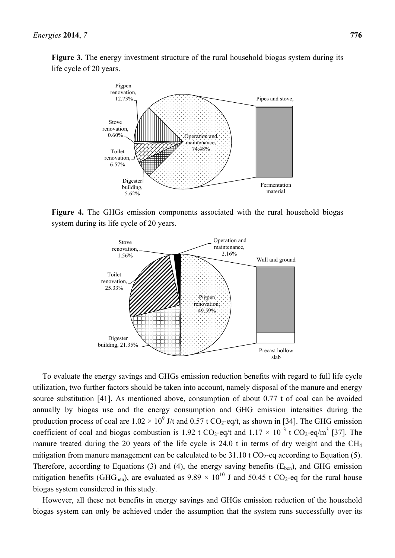



**Figure 4.** The GHGs emission components associated with the rural household biogas system during its life cycle of 20 years.



To evaluate the energy savings and GHGs emission reduction benefits with regard to full life cycle utilization, two further factors should be taken into account, namely disposal of the manure and energy source substitution [41]. As mentioned above, consumption of about 0.77 t of coal can be avoided annually by biogas use and the energy consumption and GHG emission intensities during the production process of coal are  $1.02 \times 10^9$  J/t and 0.57 t CO<sub>2</sub>-eq/t, as shown in [34]. The GHG emission coefficient of coal and biogas combustion is 1.92 t CO<sub>2</sub>-eq/t and  $1.17 \times 10^{-3}$  t CO<sub>2</sub>-eq/m<sup>3</sup> [37]. The manure treated during the 20 years of the life cycle is 24.0 t in terms of dry weight and the CH<sub>4</sub> mitigation from manure management can be calculated to be  $31.10$  t CO<sub>2</sub>-eq according to Equation (5). Therefore, according to Equations (3) and (4), the energy saving benefits ( $E_{ben}$ ), and GHG emission mitigation benefits (GHG<sub>ben</sub>), are evaluated as  $9.89 \times 10^{10}$  J and 50.45 t CO<sub>2</sub>-eq for the rural house biogas system considered in this study.

However, all these net benefits in energy savings and GHGs emission reduction of the household biogas system can only be achieved under the assumption that the system runs successfully over its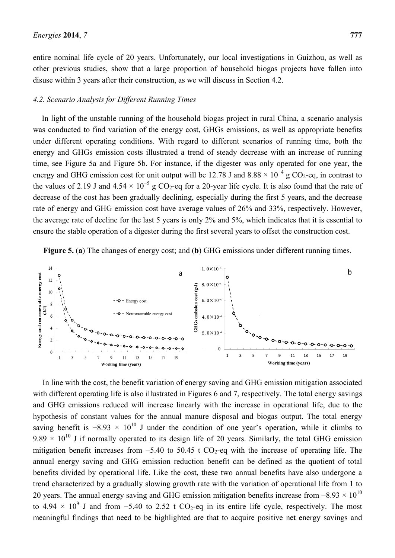entire nominal life cycle of 20 years. Unfortunately, our local investigations in Guizhou, as well as other previous studies, show that a large proportion of household biogas projects have fallen into disuse within 3 years after their construction, as we will discuss in Section 4.2.

## *4.2. Scenario Analysis for Different Running Times*

In light of the unstable running of the household biogas project in rural China, a scenario analysis was conducted to find variation of the energy cost, GHGs emissions, as well as appropriate benefits under different operating conditions. With regard to different scenarios of running time, both the energy and GHGs emission costs illustrated a trend of steady decrease with an increase of running time, see Figure 5a and Figure 5b. For instance, if the digester was only operated for one year, the energy and GHG emission cost for unit output will be 12.78 J and  $8.88 \times 10^{-4}$  g CO<sub>2</sub>-eq, in contrast to the values of 2.19 J and  $4.54 \times 10^{-5}$  g CO<sub>2</sub>-eq for a 20-year life cycle. It is also found that the rate of decrease of the cost has been gradually declining, especially during the first 5 years, and the decrease rate of energy and GHG emission cost have average values of 26% and 33%, respectively. However, the average rate of decline for the last 5 years is only 2% and 5%, which indicates that it is essential to ensure the stable operation of a digester during the first several years to offset the construction cost.





In line with the cost, the benefit variation of energy saving and GHG emission mitigation associated with different operating life is also illustrated in Figures 6 and 7, respectively. The total energy savings and GHG emissions reduced will increase linearly with the increase in operational life, due to the hypothesis of constant values for the annual manure disposal and biogas output. The total energy saving benefit is  $-8.93 \times 10^{10}$  J under the condition of one year's operation, while it climbs to  $9.89 \times 10^{10}$  J if normally operated to its design life of 20 years. Similarly, the total GHG emission mitigation benefit increases from  $-5.40$  to 50.45 t CO<sub>2</sub>-eq with the increase of operating life. The annual energy saving and GHG emission reduction benefit can be defined as the quotient of total benefits divided by operational life. Like the cost, these two annual benefits have also undergone a trend characterized by a gradually slowing growth rate with the variation of operational life from 1 to 20 years. The annual energy saving and GHG emission mitigation benefits increase from  $-8.93 \times 10^{10}$ to 4.94  $\times$  10<sup>9</sup> J and from -5.40 to 2.52 t CO<sub>2</sub>-eq in its entire life cycle, respectively. The most meaningful findings that need to be highlighted are that to acquire positive net energy savings and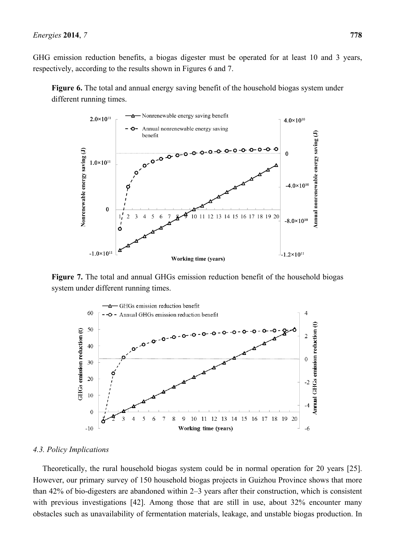GHG emission reduction benefits, a biogas digester must be operated for at least 10 and 3 years, respectively, according to the results shown in Figures 6 and 7.

**Figure 6.** The total and annual energy saving benefit of the household biogas system under different running times.



**Figure 7.** The total and annual GHGs emission reduction benefit of the household biogas system under different running times.



#### *4.3. Policy Implications*

Theoretically, the rural household biogas system could be in normal operation for 20 years [25]. However, our primary survey of 150 household biogas projects in Guizhou Province shows that more than 42% of bio-digesters are abandoned within 2–3 years after their construction, which is consistent with previous investigations [42]. Among those that are still in use, about 32% encounter many obstacles such as unavailability of fermentation materials, leakage, and unstable biogas production. In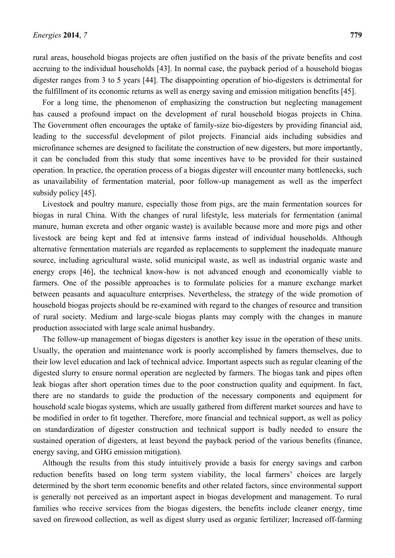rural areas, household biogas projects are often justified on the basis of the private benefits and cost accruing to the individual households [43]. In normal case, the payback period of a household biogas digester ranges from 3 to 5 years [44]. The disappointing operation of bio-digesters is detrimental for the fulfillment of its economic returns as well as energy saving and emission mitigation benefits [45].

For a long time, the phenomenon of emphasizing the construction but neglecting management has caused a profound impact on the development of rural household biogas projects in China. The Government often encourages the uptake of family-size bio-digesters by providing financial aid, leading to the successful development of pilot projects. Financial aids including subsidies and microfinance schemes are designed to facilitate the construction of new digesters, but more importantly, it can be concluded from this study that some incentives have to be provided for their sustained operation. In practice, the operation process of a biogas digester will encounter many bottlenecks, such as unavailability of fermentation material, poor follow-up management as well as the imperfect subsidy policy [45].

Livestock and poultry manure, especially those from pigs, are the main fermentation sources for biogas in rural China. With the changes of rural lifestyle, less materials for fermentation (animal manure, human excreta and other organic waste) is available because more and more pigs and other livestock are being kept and fed at intensive farms instead of individual households. Although alternative fermentation materials are regarded as replacements to supplement the inadequate manure source, including agricultural waste, solid municipal waste, as well as industrial organic waste and energy crops [46], the technical know-how is not advanced enough and economically viable to farmers. One of the possible approaches is to formulate policies for a manure exchange market between peasants and aquaculture enterprises. Nevertheless, the strategy of the wide promotion of household biogas projects should be re-examined with regard to the changes of resource and transition of rural society. Medium and large-scale biogas plants may comply with the changes in manure production associated with large scale animal husbandry.

The follow-up management of biogas digesters is another key issue in the operation of these units. Usually, the operation and maintenance work is poorly accomplished by famers themselves, due to their low level education and lack of technical advice. Important aspects such as regular cleaning of the digested slurry to ensure normal operation are neglected by farmers. The biogas tank and pipes often leak biogas after short operation times due to the poor construction quality and equipment. In fact, there are no standards to guide the production of the necessary components and equipment for household scale biogas systems, which are usually gathered from different market sources and have to be modified in order to fit together. Therefore, more financial and technical support, as well as policy on standardization of digester construction and technical support is badly needed to ensure the sustained operation of digesters, at least beyond the payback period of the various benefits (finance, energy saving, and GHG emission mitigation).

Although the results from this study intuitively provide a basis for energy savings and carbon reduction benefits based on long term system viability, the local farmers' choices are largely determined by the short term economic benefits and other related factors, since environmental support is generally not perceived as an important aspect in biogas development and management. To rural families who receive services from the biogas digesters, the benefits include cleaner energy, time saved on firewood collection, as well as digest slurry used as organic fertilizer; Increased off-farming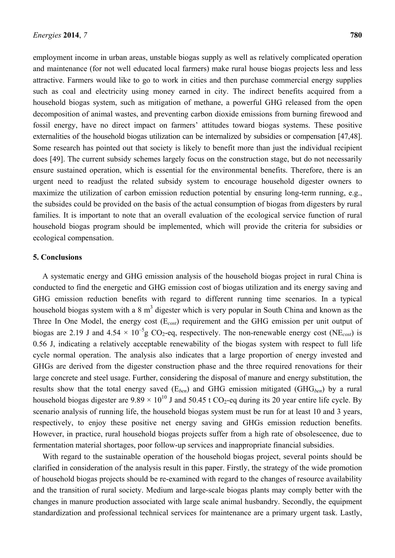employment income in urban areas, unstable biogas supply as well as relatively complicated operation and maintenance (for not well educated local farmers) make rural house biogas projects less and less attractive. Farmers would like to go to work in cities and then purchase commercial energy supplies such as coal and electricity using money earned in city. The indirect benefits acquired from a household biogas system, such as mitigation of methane, a powerful GHG released from the open decomposition of animal wastes, and preventing carbon dioxide emissions from burning firewood and fossil energy, have no direct impact on farmers' attitudes toward biogas systems. These positive externalities of the household biogas utilization can be internalized by subsidies or compensation [47,48]. Some research has pointed out that society is likely to benefit more than just the individual recipient does [49]. The current subsidy schemes largely focus on the construction stage, but do not necessarily ensure sustained operation, which is essential for the environmental benefits. Therefore, there is an urgent need to readjust the related subsidy system to encourage household digester owners to maximize the utilization of carbon emission reduction potential by ensuring long-term running, e.g., the subsides could be provided on the basis of the actual consumption of biogas from digesters by rural families. It is important to note that an overall evaluation of the ecological service function of rural household biogas program should be implemented, which will provide the criteria for subsidies or ecological compensation.

## **5. Conclusions**

A systematic energy and GHG emission analysis of the household biogas project in rural China is conducted to find the energetic and GHG emission cost of biogas utilization and its energy saving and GHG emission reduction benefits with regard to different running time scenarios. In a typical household biogas system with a 8  $m<sup>3</sup>$  digester which is very popular in South China and known as the Three In One Model, the energy cost (E*cost*) requirement and the GHG emission per unit output of biogas are 2.19 J and  $4.54 \times 10^{-5}$ g CO<sub>2</sub>-eq, respectively. The non-renewable energy cost (NE<sub>cost</sub>) is 0.56 J, indicating a relatively acceptable renewability of the biogas system with respect to full life cycle normal operation. The analysis also indicates that a large proportion of energy invested and GHGs are derived from the digester construction phase and the three required renovations for their large concrete and steel usage. Further, considering the disposal of manure and energy substitution, the results show that the total energy saved (E*ben*) and GHG emission mitigated (GHG*ben*) by a rural household biogas digester are  $9.89 \times 10^{10}$  J and  $50.45$  t CO<sub>2</sub>-eq during its 20 year entire life cycle. By scenario analysis of running life, the household biogas system must be run for at least 10 and 3 years, respectively, to enjoy these positive net energy saving and GHGs emission reduction benefits. However, in practice, rural household biogas projects suffer from a high rate of obsolescence, due to fermentation material shortages, poor follow-up services and inappropriate financial subsidies.

With regard to the sustainable operation of the household biogas project, several points should be clarified in consideration of the analysis result in this paper. Firstly, the strategy of the wide promotion of household biogas projects should be re-examined with regard to the changes of resource availability and the transition of rural society. Medium and large-scale biogas plants may comply better with the changes in manure production associated with large scale animal husbandry. Secondly, the equipment standardization and professional technical services for maintenance are a primary urgent task. Lastly,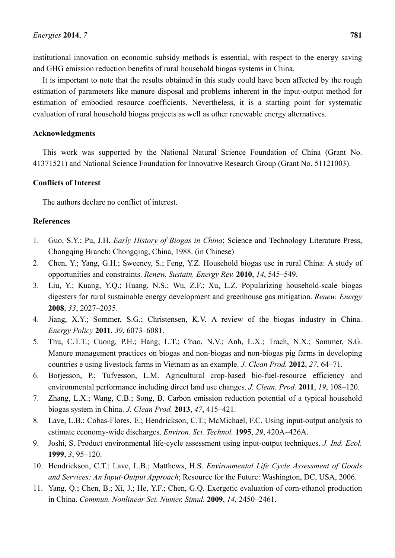It is important to note that the results obtained in this study could have been affected by the rough estimation of parameters like manure disposal and problems inherent in the input-output method for estimation of embodied resource coefficients. Nevertheless, it is a starting point for systematic evaluation of rural household biogas projects as well as other renewable energy alternatives.

## **Acknowledgments**

This work was supported by the National Natural Science Foundation of China (Grant No. 41371521) and National Science Foundation for Innovative Research Group (Grant No. 51121003).

## **Conflicts of Interest**

The authors declare no conflict of interest.

## **References**

- 1. Guo, S.Y.; Pu, J.H. *Early History of Biogas in China*; Science and Technology Literature Press, Chongqing Branch: Chongqing, China, 1988. (in Chinese)
- 2. Chen, Y.; Yang, G.H.; Sweeney, S.; Feng, Y.Z. Household biogas use in rural China: A study of opportunities and constraints. *Renew. Sustain. Energy Rev.* **2010**, *14*, 545–549.
- 3. Liu, Y.; Kuang, Y.Q.; Huang, N.S.; Wu, Z.F.; Xu, L.Z. Popularizing household-scale biogas digesters for rural sustainable energy development and greenhouse gas mitigation. *Renew. Energy* **2008**, *33*, 2027–2035.
- 4. Jiang, X.Y.; Sommer, S.G.; Christensen, K.V. A review of the biogas industry in China. *Energy Policy* **2011**, *39*, 6073–6081.
- 5. Thu, C.T.T.; Cuong, P.H.; Hang, L.T.; Chao, N.V.; Anh, L.X.; Trach, N.X.; Sommer, S.G. Manure management practices on biogas and non-biogas and non-biogas pig farms in developing countries e using livestock farms in Vietnam as an example. *J. Clean Prod.* **2012**, *27*, 64–71.
- 6. Borjesson, P.; Tufvesson, L.M. Agricultural crop-based bio-fuel-resource efficiency and environmental performance including direct land use changes. *J. Clean. Prod.* **2011**, *19*, 108–120.
- 7. Zhang, L.X.; Wang, C.B.; Song, B. Carbon emission reduction potential of a typical household biogas system in China. *J. Clean Prod.* **2013**, *47*, 415–421.
- 8. Lave, L.B.; Cobas-Flores, E.; Hendrickson, C.T.; McMichael, F.C. Using input-output analysis to estimate economy-wide discharges. *Environ. Sci. Technol.* **1995**, *29*, 420A–426A.
- 9. Joshi, S. Product environmental life-cycle assessment using input-output techniques. *J. Ind. Ecol.* **1999**, *3*, 95–120.
- 10. Hendrickson, C.T.; Lave, L.B.; Matthews, H.S. *Environmental Life Cycle Assessment of Goods and Services: An Input-Output Approach*; Resource for the Future: Washington, DC, USA, 2006.
- 11. Yang, Q.; Chen, B.; Xi, J.; He, Y.F.; Chen, G.Q. Exergetic evaluation of corn-ethanol production in China. *Commun. Nonlinear Sci. Numer. Simul.* **2009**, *14*, 2450–2461.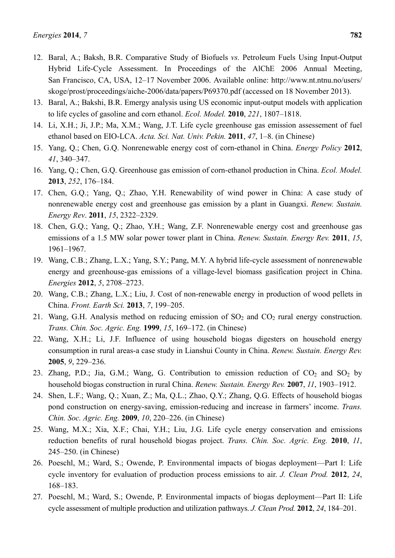- 12. Baral, A.; Baksh, B.R. Comparative Study of Biofuels *vs.* Petroleum Fuels Using Input-Output Hybrid Life-Cycle Assessment. In Proceedings of the AlChE 2006 Annual Meeting, San Francisco, CA, USA, 12–17 November 2006. Available online: http://www.nt.ntnu.no/users/ skoge/prost/proceedings/aiche-2006/data/papers/P69370.pdf (accessed on 18 November 2013).
- 13. Baral, A.; Bakshi, B.R. Emergy analysis using US economic input-output models with application to life cycles of gasoline and corn ethanol. *Ecol. Model.* **2010**, *221*, 1807–1818.
- 14. Li, X.H.; Ji, J.P.; Ma, X.M.; Wang, J.T. Life cycle greenhouse gas emission assessement of fuel ethanol based on EIO-LCA. *Acta. Sci. Nat. Univ. Pekin.* **2011**, *47*, 1–8. (in Chinese)
- 15. Yang, Q.; Chen, G.Q. Nonrenewable energy cost of corn-ethanol in China. *Energy Policy* **2012**, *41*, 340–347.
- 16. Yang, Q.; Chen, G.Q. Greenhouse gas emission of corn-ethanol production in China. *Ecol. Model.* **2013**, *252*, 176–184.
- 17. Chen, G.Q.; Yang, Q.; Zhao, Y.H. Renewability of wind power in China: A case study of nonrenewable energy cost and greenhouse gas emission by a plant in Guangxi. *Renew. Sustain. Energy Rev*. **2011**, *15*, 2322–2329.
- 18. Chen, G.Q.; Yang, Q.; Zhao, Y.H.; Wang, Z.F. Nonrenewable energy cost and greenhouse gas emissions of a 1.5 MW solar power tower plant in China. *Renew. Sustain. Energy Rev.* **2011**, *15*, 1961–1967.
- 19. Wang, C.B.; Zhang, L.X.; Yang, S.Y.; Pang, M.Y. A hybrid life-cycle assessment of nonrenewable energy and greenhouse-gas emissions of a village-level biomass gasification project in China. *Energies* **2012**, *5*, 2708–2723.
- 20. Wang, C.B.; Zhang, L.X.; Liu, J. Cost of non-renewable energy in production of wood pellets in China. *Front. Earth Sci.* **2013**, *7*, 199–205.
- 21. Wang, G.H. Analysis method on reducing emission of  $SO_2$  and  $CO_2$  rural energy construction. *Trans. Chin. Soc. Agric. Eng.* **1999**, *15*, 169–172. (in Chinese)
- 22. Wang, X.H.; Li, J.F. Influence of using household biogas digesters on household energy consumption in rural areas-a case study in Lianshui County in China. *Renew. Sustain. Energy Rev.* **2005**, *9*, 229–236.
- 23. Zhang, P.D.; Jia, G.M.; Wang, G. Contribution to emission reduction of  $CO<sub>2</sub>$  and  $SO<sub>2</sub>$  by household biogas construction in rural China. *Renew. Sustain. Energy Rev.* **2007**, *11*, 1903–1912.
- 24. Shen, L.F.; Wang, Q.; Xuan, Z.; Ma, Q.L.; Zhao, Q.Y.; Zhang, Q.G. Effects of household biogas pond construction on energy-saving, emission-reducing and increase in farmers' income. *Trans. Chin. Soc. Agric. Eng.* **2009**, *10*, 220–226. (in Chinese)
- 25. Wang, M.X.; Xia, X.F.; Chai, Y.H.; Liu, J.G. Life cycle energy conservation and emissions reduction benefits of rural household biogas project. *Trans. Chin. Soc. Agric. Eng.* **2010**, *11*, 245–250. (in Chinese)
- 26. Poeschl, M.; Ward, S.; Owende, P. Environmental impacts of biogas deployment—Part I: Life cycle inventory for evaluation of production process emissions to air. *J. Clean Prod.* **2012**, *24*, 168–183.
- 27. Poeschl, M.; Ward, S.; Owende, P. Environmental impacts of biogas deployment—Part II: Life cycle assessment of multiple production and utilization pathways. *J. Clean Prod.* **2012**, *24*, 184–201.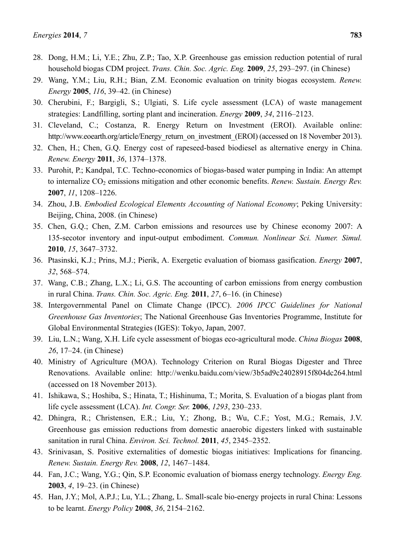- 29. Wang, Y.M.; Liu, R.H.; Bian, Z.M. Economic evaluation on trinity biogas ecosystem. *Renew. Energy* **2005**, *116*, 39–42. (in Chinese)
- 30. Cherubini, F.; Bargigli, S.; Ulgiati, S. Life cycle assessment (LCA) of waste management strategies: Landfilling, sorting plant and incineration. *Energy* **2009**, *34*, 2116–2123.
- 31. Cleveland, C.; Costanza, R. Energy Return on Investment (EROI). Available online: http://www.eoearth.org/article/Energy\_return\_on\_investment\_(EROI) (accessed on 18 November 2013).
- 32. Chen, H.; Chen, G.Q. Energy cost of rapeseed-based biodiesel as alternative energy in China. *Renew. Energy* **2011**, *36*, 1374–1378.
- 33. Purohit, P.; Kandpal, T.C. Techno-economics of biogas-based water pumping in India: An attempt to internalize CO<sub>2</sub> emissions mitigation and other economic benefits. *Renew. Sustain. Energy Rev.* **2007**, *11*, 1208–1226.
- 34. Zhou, J.B. *Embodied Ecological Elements Accounting of National Economy*; Peking University: Beijing, China, 2008. (in Chinese)
- 35. Chen, G.Q.; Chen, Z.M. Carbon emissions and resources use by Chinese economy 2007: A 135-secotor inventory and input-output embodiment. *Commun. Nonlinear Sci. Numer. Simul.* **2010**, *15*, 3647–3732.
- 36. Ptasinski, K.J.; Prins, M.J.; Pierik, A. Exergetic evaluation of biomass gasification. *Energy* **2007**, *32*, 568–574.
- 37. Wang, C.B.; Zhang, L.X.; Li, G.S. The accounting of carbon emissions from energy combustion in rural China. *Trans. Chin. Soc. Agric. Eng.* **2011**, *27*, 6–16. (in Chinese)
- 38. Intergovernmental Panel on Climate Change (IPCC). *2006 IPCC Guidelines for National Greenhouse Gas Inventories*; The National Greenhouse Gas Inventories Programme, Institute for Global Environmental Strategies (IGES): Tokyo, Japan, 2007.
- 39. Liu, L.N.; Wang, X.H. Life cycle assessment of biogas eco-agricultural mode. *China Biogas* **2008**, *26*, 17–24. (in Chinese)
- 40. Ministry of Agriculture (MOA). Technology Criterion on Rural Biogas Digester and Three Renovations. Available online: http://wenku.baidu.com/view/3b5ad9c24028915f804dc264.html (accessed on 18 November 2013).
- 41. Ishikawa, S.; Hoshiba, S.; Hinata, T.; Hishinuma, T.; Morita, S. Evaluation of a biogas plant from life cycle assessment (LCA). *Int. Congr. Ser.* **2006**, *1293*, 230–233.
- 42. Dhingra, R.; Christensen, E.R.; Liu, Y.; Zhong, B.; Wu, C.F.; Yost, M.G.; Remais, J.V. Greenhouse gas emission reductions from domestic anaerobic digesters linked with sustainable sanitation in rural China. *Environ. Sci. Technol.* **2011**, *45*, 2345–2352.
- 43. Srinivasan, S. Positive externalities of domestic biogas initiatives: Implications for financing. *Renew. Sustain. Energy Rev.* **2008**, *12*, 1467–1484.
- 44. Fan, J.C.; Wang, Y.G.; Qin, S.P. Economic evaluation of biomass energy technology. *Energy Eng.* **2003**, *4*, 19–23. (in Chinese)
- 45. Han, J.Y.; Mol, A.P.J.; Lu, Y.L.; Zhang, L. Small-scale bio-energy projects in rural China: Lessons to be learnt. *Energy Policy* **2008**, *36*, 2154–2162.